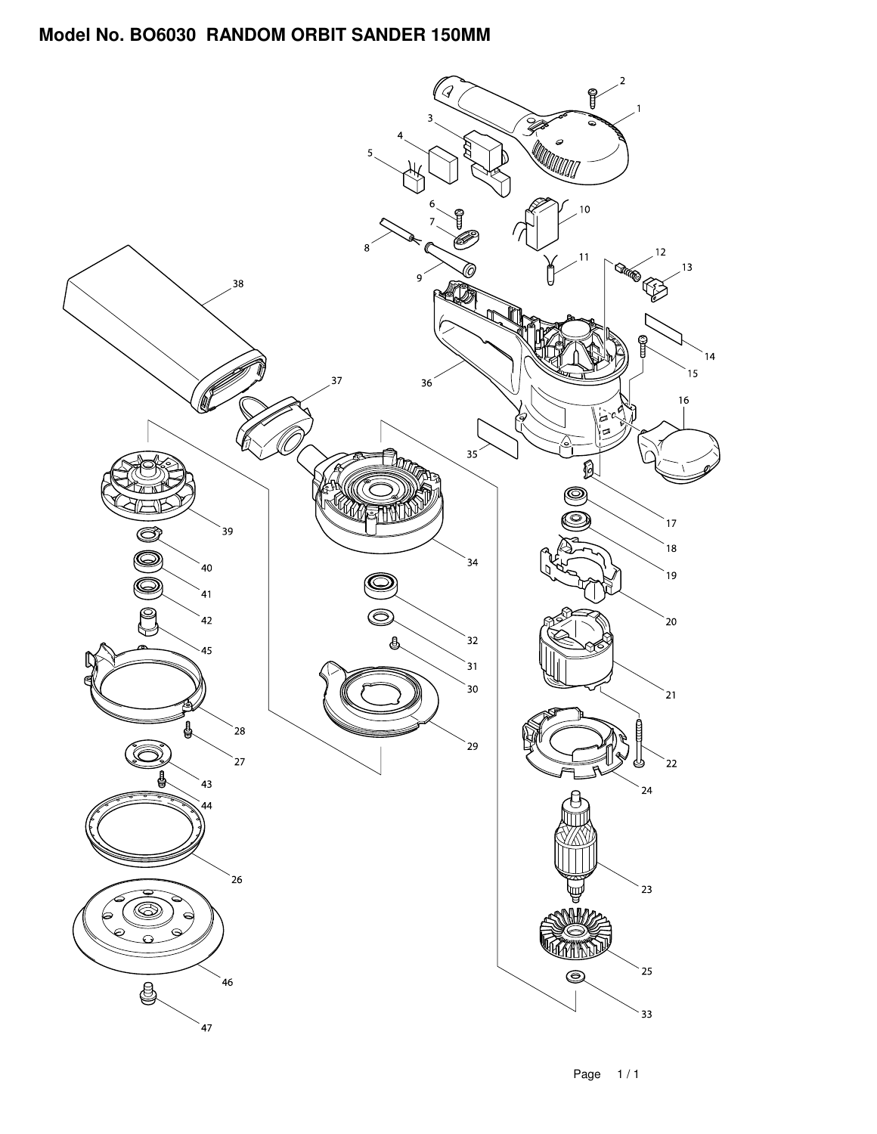## **Model No. BO6030 RANDOM ORBIT SANDER 150MM**

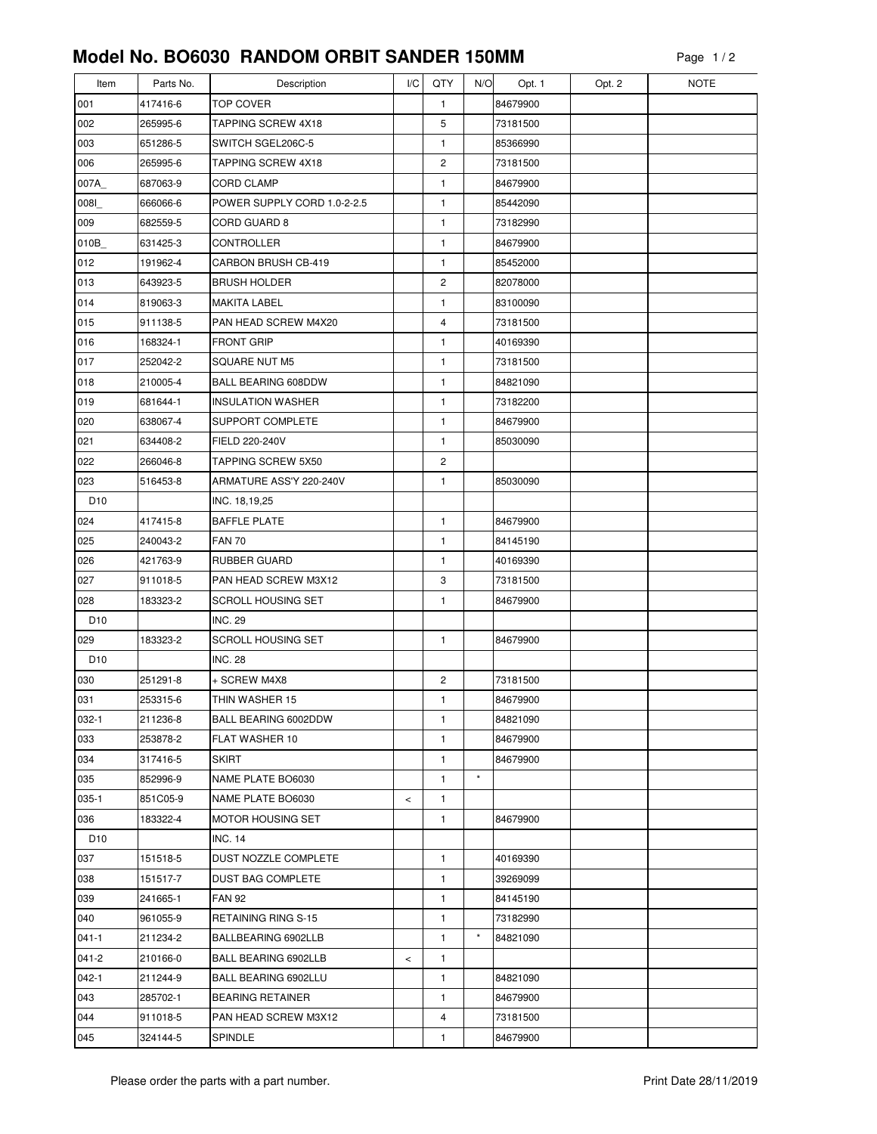## **Model No. BO6030 RANDOM ORBIT SANDER 150MM**

| Item            | Parts No. | Description                 | I/C   | QTY                     | N/O      | Opt. 1   | Opt. 2 | <b>NOTE</b> |
|-----------------|-----------|-----------------------------|-------|-------------------------|----------|----------|--------|-------------|
| 001             | 417416-6  | <b>TOP COVER</b>            |       | 1                       |          | 84679900 |        |             |
| 002             | 265995-6  | TAPPING SCREW 4X18          |       | 5                       |          | 73181500 |        |             |
| 003             | 651286-5  | SWITCH SGEL206C-5           |       | 1                       |          | 85366990 |        |             |
| 006             | 265995-6  | <b>TAPPING SCREW 4X18</b>   |       | $\overline{c}$          |          | 73181500 |        |             |
| 007A            | 687063-9  | <b>CORD CLAMP</b>           |       | 1                       |          | 84679900 |        |             |
| 0081            | 666066-6  | POWER SUPPLY CORD 1.0-2-2.5 |       | 1                       |          | 85442090 |        |             |
| 009             | 682559-5  | CORD GUARD 8                |       | $\mathbf{1}$            |          | 73182990 |        |             |
| 010B            | 631425-3  | <b>CONTROLLER</b>           |       | 1                       |          | 84679900 |        |             |
| 012             | 191962-4  | <b>CARBON BRUSH CB-419</b>  |       | 1                       |          | 85452000 |        |             |
| 013             | 643923-5  | <b>BRUSH HOLDER</b>         |       | $\overline{\mathbf{c}}$ |          | 82078000 |        |             |
| 014             | 819063-3  | <b>MAKITA LABEL</b>         |       | 1                       |          | 83100090 |        |             |
| 015             | 911138-5  | PAN HEAD SCREW M4X20        |       | 4                       |          | 73181500 |        |             |
| 016             | 168324-1  | <b>FRONT GRIP</b>           |       | 1                       |          | 40169390 |        |             |
| 017             | 252042-2  | SQUARE NUT M5               |       | 1                       |          | 73181500 |        |             |
| 018             | 210005-4  | <b>BALL BEARING 608DDW</b>  |       | 1                       |          | 84821090 |        |             |
| 019             | 681644-1  | <b>INSULATION WASHER</b>    |       | 1                       |          | 73182200 |        |             |
| 020             | 638067-4  | SUPPORT COMPLETE            |       | 1                       |          | 84679900 |        |             |
| 021             | 634408-2  | FIELD 220-240V              |       | 1                       |          | 85030090 |        |             |
| 022             | 266046-8  | <b>TAPPING SCREW 5X50</b>   |       | 2                       |          |          |        |             |
| 023             | 516453-8  | ARMATURE ASS'Y 220-240V     |       | $\mathbf{1}$            |          | 85030090 |        |             |
| D <sub>10</sub> |           | INC. 18,19,25               |       |                         |          |          |        |             |
| 024             | 417415-8  | <b>BAFFLE PLATE</b>         |       | 1                       |          | 84679900 |        |             |
| 025             | 240043-2  | <b>FAN 70</b>               |       | 1                       |          | 84145190 |        |             |
| 026             | 421763-9  | <b>RUBBER GUARD</b>         |       | 1                       |          | 40169390 |        |             |
| 027             | 911018-5  | PAN HEAD SCREW M3X12        |       | 3                       |          | 73181500 |        |             |
| 028             | 183323-2  | <b>SCROLL HOUSING SET</b>   |       | 1                       |          | 84679900 |        |             |
| D <sub>10</sub> |           | <b>INC. 29</b>              |       |                         |          |          |        |             |
| 029             | 183323-2  | <b>SCROLL HOUSING SET</b>   |       | $\mathbf{1}$            |          | 84679900 |        |             |
| D <sub>10</sub> |           | <b>INC. 28</b>              |       |                         |          |          |        |             |
| 030             | 251291-8  | + SCREW M4X8                |       | 2                       |          | 73181500 |        |             |
| 031             | 253315-6  | THIN WASHER 15              |       | 1                       |          | 84679900 |        |             |
| 032-1           | 211236-8  | BALL BEARING 6002DDW        |       | 1                       |          | 84821090 |        |             |
| 033             | 253878-2  | FLAT WASHER 10              |       | 1                       |          | 84679900 |        |             |
| 034             | 317416-5  | <b>SKIRT</b>                |       | 1                       |          | 84679900 |        |             |
| 035             | 852996-9  | NAME PLATE BO6030           |       | 1                       | $\star$  |          |        |             |
| $035-1$         | 851C05-9  | NAME PLATE BO6030           | $\,<$ | 1                       |          |          |        |             |
| 036             | 183322-4  | MOTOR HOUSING SET           |       | 1                       |          | 84679900 |        |             |
| D <sub>10</sub> |           | INC. 14                     |       |                         |          |          |        |             |
| 037             | 151518-5  | DUST NOZZLE COMPLETE        |       | $\mathbf{1}$            |          | 40169390 |        |             |
| 038             | 151517-7  | <b>DUST BAG COMPLETE</b>    |       | 1                       |          | 39269099 |        |             |
| 039             | 241665-1  | <b>FAN 92</b>               |       | 1                       |          | 84145190 |        |             |
| 040             | 961055-9  | RETAINING RING S-15         |       | 1                       |          | 73182990 |        |             |
| $041 - 1$       | 211234-2  | BALLBEARING 6902LLB         |       | 1                       | $^\star$ | 84821090 |        |             |
| $041 - 2$       | 210166-0  | BALL BEARING 6902LLB        | $\,<$ | 1                       |          |          |        |             |
| $042 - 1$       | 211244-9  | BALL BEARING 6902LLU        |       | 1                       |          | 84821090 |        |             |
| 043             | 285702-1  | <b>BEARING RETAINER</b>     |       | 1                       |          | 84679900 |        |             |
| 044             | 911018-5  | PAN HEAD SCREW M3X12        |       | 4                       |          | 73181500 |        |             |
| 045             | 324144-5  | SPINDLE                     |       | 1                       |          | 84679900 |        |             |